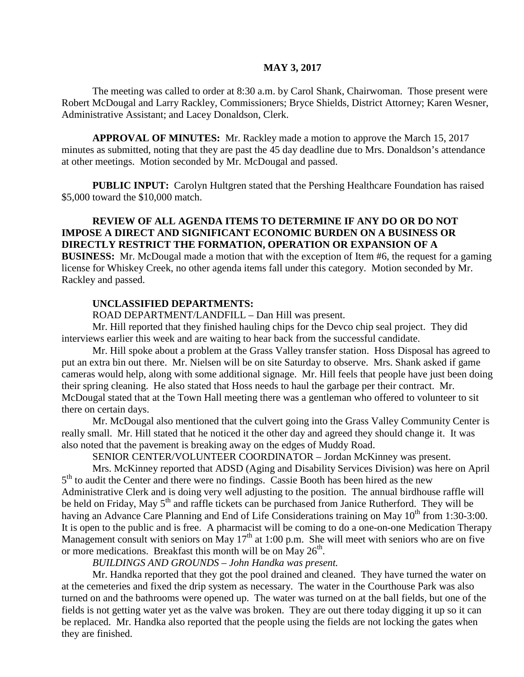#### **MAY 3, 2017**

The meeting was called to order at 8:30 a.m. by Carol Shank, Chairwoman. Those present were Robert McDougal and Larry Rackley, Commissioners; Bryce Shields, District Attorney; Karen Wesner, Administrative Assistant; and Lacey Donaldson, Clerk.

**APPROVAL OF MINUTES:** Mr. Rackley made a motion to approve the March 15, 2017 minutes as submitted, noting that they are past the 45 day deadline due to Mrs. Donaldson's attendance at other meetings. Motion seconded by Mr. McDougal and passed.

**PUBLIC INPUT:** Carolyn Hultgren stated that the Pershing Healthcare Foundation has raised \$5,000 toward the \$10,000 match.

### **REVIEW OF ALL AGENDA ITEMS TO DETERMINE IF ANY DO OR DO NOT IMPOSE A DIRECT AND SIGNIFICANT ECONOMIC BURDEN ON A BUSINESS OR DIRECTLY RESTRICT THE FORMATION, OPERATION OR EXPANSION OF A BUSINESS:** Mr. McDougal made a motion that with the exception of Item #6, the request for a gaming license for Whiskey Creek, no other agenda items fall under this category. Motion seconded by Mr.

#### **UNCLASSIFIED DEPARTMENTS:**

Rackley and passed.

ROAD DEPARTMENT/LANDFILL – Dan Hill was present.

Mr. Hill reported that they finished hauling chips for the Devco chip seal project. They did interviews earlier this week and are waiting to hear back from the successful candidate.

Mr. Hill spoke about a problem at the Grass Valley transfer station. Hoss Disposal has agreed to put an extra bin out there. Mr. Nielsen will be on site Saturday to observe. Mrs. Shank asked if game cameras would help, along with some additional signage. Mr. Hill feels that people have just been doing their spring cleaning. He also stated that Hoss needs to haul the garbage per their contract. Mr. McDougal stated that at the Town Hall meeting there was a gentleman who offered to volunteer to sit there on certain days.

Mr. McDougal also mentioned that the culvert going into the Grass Valley Community Center is really small. Mr. Hill stated that he noticed it the other day and agreed they should change it. It was also noted that the pavement is breaking away on the edges of Muddy Road.

SENIOR CENTER/VOLUNTEER COORDINATOR – Jordan McKinney was present.

Mrs. McKinney reported that ADSD (Aging and Disability Services Division) was here on April 5<sup>th</sup> to audit the Center and there were no findings. Cassie Booth has been hired as the new Administrative Clerk and is doing very well adjusting to the position. The annual birdhouse raffle will be held on Friday, May 5<sup>th</sup> and raffle tickets can be purchased from Janice Rutherford. They will be having an Advance Care Planning and End of Life Considerations training on May  $10^{th}$  from 1:30-3:00. It is open to the public and is free. A pharmacist will be coming to do a one-on-one Medication Therapy Management consult with seniors on May  $17<sup>th</sup>$  at 1:00 p.m. She will meet with seniors who are on five or more medications. Breakfast this month will be on May  $26<sup>th</sup>$ .

*BUILDINGS AND GROUNDS – John Handka was present.*

Mr. Handka reported that they got the pool drained and cleaned. They have turned the water on at the cemeteries and fixed the drip system as necessary. The water in the Courthouse Park was also turned on and the bathrooms were opened up. The water was turned on at the ball fields, but one of the fields is not getting water yet as the valve was broken. They are out there today digging it up so it can be replaced. Mr. Handka also reported that the people using the fields are not locking the gates when they are finished.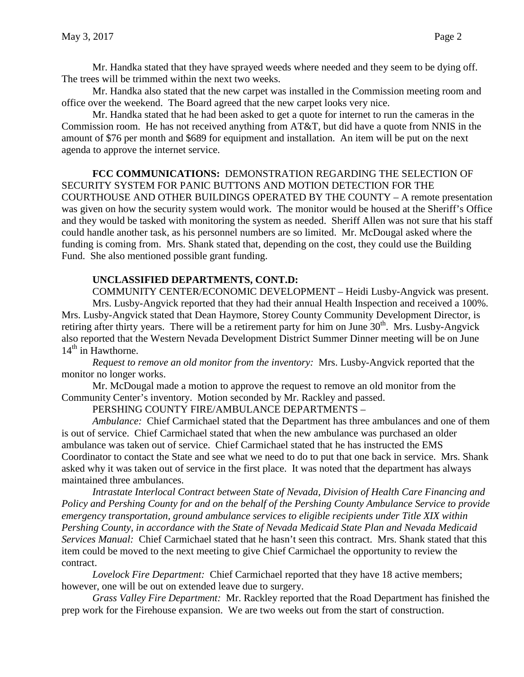Mr. Handka stated that they have sprayed weeds where needed and they seem to be dying off. The trees will be trimmed within the next two weeks.

Mr. Handka also stated that the new carpet was installed in the Commission meeting room and office over the weekend. The Board agreed that the new carpet looks very nice.

Mr. Handka stated that he had been asked to get a quote for internet to run the cameras in the Commission room. He has not received anything from AT&T, but did have a quote from NNIS in the amount of \$76 per month and \$689 for equipment and installation. An item will be put on the next agenda to approve the internet service.

**FCC COMMUNICATIONS:** DEMONSTRATION REGARDING THE SELECTION OF SECURITY SYSTEM FOR PANIC BUTTONS AND MOTION DETECTION FOR THE COURTHOUSE AND OTHER BUILDINGS OPERATED BY THE COUNTY – A remote presentation was given on how the security system would work. The monitor would be housed at the Sheriff's Office and they would be tasked with monitoring the system as needed. Sheriff Allen was not sure that his staff could handle another task, as his personnel numbers are so limited. Mr. McDougal asked where the funding is coming from. Mrs. Shank stated that, depending on the cost, they could use the Building Fund. She also mentioned possible grant funding.

## **UNCLASSIFIED DEPARTMENTS, CONT.D:**

COMMUNITY CENTER/ECONOMIC DEVELOPMENT – Heidi Lusby-Angvick was present. Mrs. Lusby-Angvick reported that they had their annual Health Inspection and received a 100%. Mrs. Lusby-Angvick stated that Dean Haymore, Storey County Community Development Director, is retiring after thirty years. There will be a retirement party for him on June  $30<sup>th</sup>$ . Mrs. Lusby-Angvick also reported that the Western Nevada Development District Summer Dinner meeting will be on June  $14<sup>th</sup>$  in Hawthorne.

*Request to remove an old monitor from the inventory:* Mrs. Lusby-Angvick reported that the monitor no longer works.

Mr. McDougal made a motion to approve the request to remove an old monitor from the Community Center's inventory. Motion seconded by Mr. Rackley and passed.

PERSHING COUNTY FIRE/AMBULANCE DEPARTMENTS –

*Ambulance:* Chief Carmichael stated that the Department has three ambulances and one of them is out of service. Chief Carmichael stated that when the new ambulance was purchased an older ambulance was taken out of service. Chief Carmichael stated that he has instructed the EMS Coordinator to contact the State and see what we need to do to put that one back in service. Mrs. Shank asked why it was taken out of service in the first place. It was noted that the department has always maintained three ambulances.

*Intrastate Interlocal Contract between State of Nevada, Division of Health Care Financing and Policy and Pershing County for and on the behalf of the Pershing County Ambulance Service to provide emergency transportation, ground ambulance services to eligible recipients under Title XIX within Pershing County, in accordance with the State of Nevada Medicaid State Plan and Nevada Medicaid Services Manual:* Chief Carmichael stated that he hasn't seen this contract. Mrs. Shank stated that this item could be moved to the next meeting to give Chief Carmichael the opportunity to review the contract.

*Lovelock Fire Department:* Chief Carmichael reported that they have 18 active members; however, one will be out on extended leave due to surgery.

*Grass Valley Fire Department:* Mr. Rackley reported that the Road Department has finished the prep work for the Firehouse expansion. We are two weeks out from the start of construction.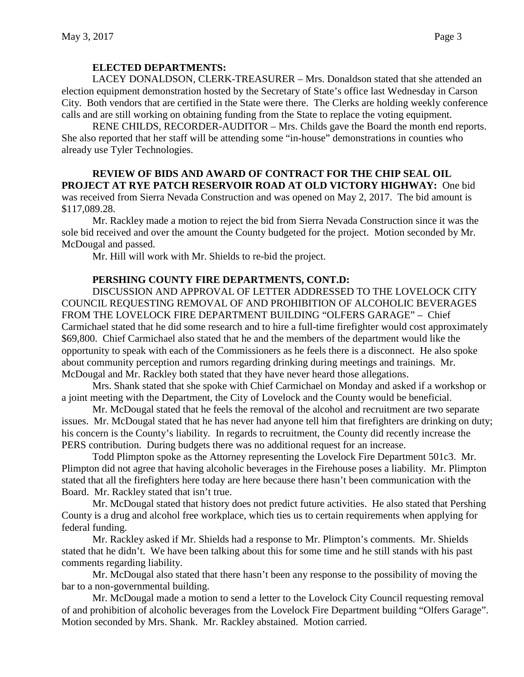### **ELECTED DEPARTMENTS:**

LACEY DONALDSON, CLERK-TREASURER – Mrs. Donaldson stated that she attended an election equipment demonstration hosted by the Secretary of State's office last Wednesday in Carson City. Both vendors that are certified in the State were there. The Clerks are holding weekly conference calls and are still working on obtaining funding from the State to replace the voting equipment.

RENE CHILDS, RECORDER-AUDITOR – Mrs. Childs gave the Board the month end reports. She also reported that her staff will be attending some "in-house" demonstrations in counties who already use Tyler Technologies.

### **REVIEW OF BIDS AND AWARD OF CONTRACT FOR THE CHIP SEAL OIL PROJECT AT RYE PATCH RESERVOIR ROAD AT OLD VICTORY HIGHWAY:** One bid

was received from Sierra Nevada Construction and was opened on May 2, 2017. The bid amount is \$117,089.28.

Mr. Rackley made a motion to reject the bid from Sierra Nevada Construction since it was the sole bid received and over the amount the County budgeted for the project. Motion seconded by Mr. McDougal and passed.

Mr. Hill will work with Mr. Shields to re-bid the project.

### **PERSHING COUNTY FIRE DEPARTMENTS, CONT.D:**

DISCUSSION AND APPROVAL OF LETTER ADDRESSED TO THE LOVELOCK CITY COUNCIL REQUESTING REMOVAL OF AND PROHIBITION OF ALCOHOLIC BEVERAGES FROM THE LOVELOCK FIRE DEPARTMENT BUILDING "OLFERS GARAGE" – Chief Carmichael stated that he did some research and to hire a full-time firefighter would cost approximately \$69,800. Chief Carmichael also stated that he and the members of the department would like the opportunity to speak with each of the Commissioners as he feels there is a disconnect. He also spoke about community perception and rumors regarding drinking during meetings and trainings. Mr. McDougal and Mr. Rackley both stated that they have never heard those allegations.

Mrs. Shank stated that she spoke with Chief Carmichael on Monday and asked if a workshop or a joint meeting with the Department, the City of Lovelock and the County would be beneficial.

Mr. McDougal stated that he feels the removal of the alcohol and recruitment are two separate issues. Mr. McDougal stated that he has never had anyone tell him that firefighters are drinking on duty; his concern is the County's liability. In regards to recruitment, the County did recently increase the PERS contribution. During budgets there was no additional request for an increase.

Todd Plimpton spoke as the Attorney representing the Lovelock Fire Department 501c3. Mr. Plimpton did not agree that having alcoholic beverages in the Firehouse poses a liability. Mr. Plimpton stated that all the firefighters here today are here because there hasn't been communication with the Board. Mr. Rackley stated that isn't true.

Mr. McDougal stated that history does not predict future activities. He also stated that Pershing County is a drug and alcohol free workplace, which ties us to certain requirements when applying for federal funding.

Mr. Rackley asked if Mr. Shields had a response to Mr. Plimpton's comments. Mr. Shields stated that he didn't. We have been talking about this for some time and he still stands with his past comments regarding liability.

Mr. McDougal also stated that there hasn't been any response to the possibility of moving the bar to a non-governmental building.

Mr. McDougal made a motion to send a letter to the Lovelock City Council requesting removal of and prohibition of alcoholic beverages from the Lovelock Fire Department building "Olfers Garage". Motion seconded by Mrs. Shank. Mr. Rackley abstained. Motion carried.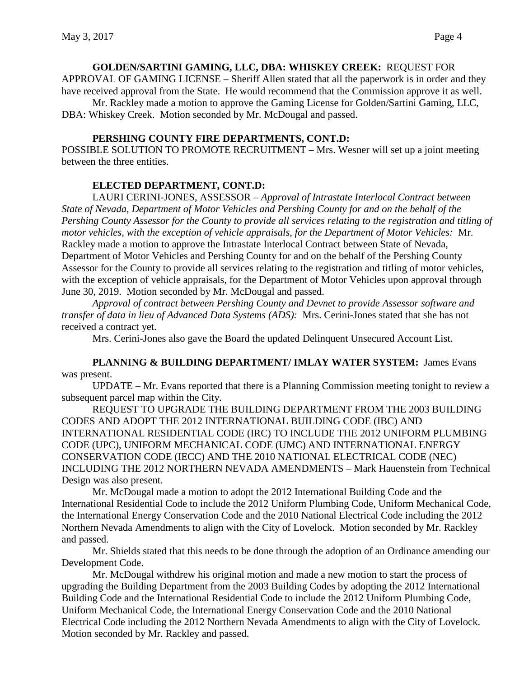**GOLDEN/SARTINI GAMING, LLC, DBA: WHISKEY CREEK:** REQUEST FOR APPROVAL OF GAMING LICENSE – Sheriff Allen stated that all the paperwork is in order and they have received approval from the State. He would recommend that the Commission approve it as well.

Mr. Rackley made a motion to approve the Gaming License for Golden/Sartini Gaming, LLC, DBA: Whiskey Creek. Motion seconded by Mr. McDougal and passed.

### **PERSHING COUNTY FIRE DEPARTMENTS, CONT.D:**

POSSIBLE SOLUTION TO PROMOTE RECRUITMENT – Mrs. Wesner will set up a joint meeting between the three entities.

# **ELECTED DEPARTMENT, CONT.D:**

LAURI CERINI-JONES, ASSESSOR – *Approval of Intrastate Interlocal Contract between State of Nevada, Department of Motor Vehicles and Pershing County for and on the behalf of the Pershing County Assessor for the County to provide all services relating to the registration and titling of motor vehicles, with the exception of vehicle appraisals, for the Department of Motor Vehicles:* Mr. Rackley made a motion to approve the Intrastate Interlocal Contract between State of Nevada, Department of Motor Vehicles and Pershing County for and on the behalf of the Pershing County Assessor for the County to provide all services relating to the registration and titling of motor vehicles, with the exception of vehicle appraisals, for the Department of Motor Vehicles upon approval through June 30, 2019. Motion seconded by Mr. McDougal and passed.

*Approval of contract between Pershing County and Devnet to provide Assessor software and transfer of data in lieu of Advanced Data Systems (ADS):* Mrs. Cerini-Jones stated that she has not received a contract yet.

Mrs. Cerini-Jones also gave the Board the updated Delinquent Unsecured Account List.

**PLANNING & BUILDING DEPARTMENT/ IMLAY WATER SYSTEM:** James Evans was present.

UPDATE – Mr. Evans reported that there is a Planning Commission meeting tonight to review a subsequent parcel map within the City.

REQUEST TO UPGRADE THE BUILDING DEPARTMENT FROM THE 2003 BUILDING CODES AND ADOPT THE 2012 INTERNATIONAL BUILDING CODE (IBC) AND INTERNATIONAL RESIDENTIAL CODE (IRC) TO INCLUDE THE 2012 UNIFORM PLUMBING CODE (UPC), UNIFORM MECHANICAL CODE (UMC) AND INTERNATIONAL ENERGY CONSERVATION CODE (IECC) AND THE 2010 NATIONAL ELECTRICAL CODE (NEC) INCLUDING THE 2012 NORTHERN NEVADA AMENDMENTS – Mark Hauenstein from Technical Design was also present.

Mr. McDougal made a motion to adopt the 2012 International Building Code and the International Residential Code to include the 2012 Uniform Plumbing Code, Uniform Mechanical Code, the International Energy Conservation Code and the 2010 National Electrical Code including the 2012 Northern Nevada Amendments to align with the City of Lovelock. Motion seconded by Mr. Rackley and passed.

Mr. Shields stated that this needs to be done through the adoption of an Ordinance amending our Development Code.

Mr. McDougal withdrew his original motion and made a new motion to start the process of upgrading the Building Department from the 2003 Building Codes by adopting the 2012 International Building Code and the International Residential Code to include the 2012 Uniform Plumbing Code, Uniform Mechanical Code, the International Energy Conservation Code and the 2010 National Electrical Code including the 2012 Northern Nevada Amendments to align with the City of Lovelock. Motion seconded by Mr. Rackley and passed.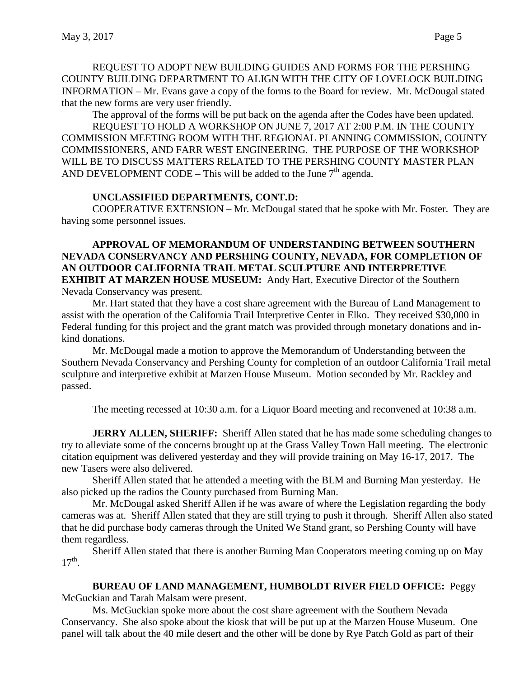REQUEST TO ADOPT NEW BUILDING GUIDES AND FORMS FOR THE PERSHING COUNTY BUILDING DEPARTMENT TO ALIGN WITH THE CITY OF LOVELOCK BUILDING INFORMATION – Mr. Evans gave a copy of the forms to the Board for review. Mr. McDougal stated that the new forms are very user friendly.

The approval of the forms will be put back on the agenda after the Codes have been updated.

REQUEST TO HOLD A WORKSHOP ON JUNE 7, 2017 AT 2:00 P.M. IN THE COUNTY COMMISSION MEETING ROOM WITH THE REGIONAL PLANNING COMMISSION, COUNTY COMMISSIONERS, AND FARR WEST ENGINEERING. THE PURPOSE OF THE WORKSHOP WILL BE TO DISCUSS MATTERS RELATED TO THE PERSHING COUNTY MASTER PLAN AND DEVELOPMENT CODE – This will be added to the June  $7<sup>th</sup>$  agenda.

### **UNCLASSIFIED DEPARTMENTS, CONT.D:**

COOPERATIVE EXTENSION – Mr. McDougal stated that he spoke with Mr. Foster. They are having some personnel issues.

### **APPROVAL OF MEMORANDUM OF UNDERSTANDING BETWEEN SOUTHERN NEVADA CONSERVANCY AND PERSHING COUNTY, NEVADA, FOR COMPLETION OF AN OUTDOOR CALIFORNIA TRAIL METAL SCULPTURE AND INTERPRETIVE EXHIBIT AT MARZEN HOUSE MUSEUM:** Andy Hart, Executive Director of the Southern Nevada Conservancy was present.

Mr. Hart stated that they have a cost share agreement with the Bureau of Land Management to assist with the operation of the California Trail Interpretive Center in Elko. They received \$30,000 in Federal funding for this project and the grant match was provided through monetary donations and inkind donations.

Mr. McDougal made a motion to approve the Memorandum of Understanding between the Southern Nevada Conservancy and Pershing County for completion of an outdoor California Trail metal sculpture and interpretive exhibit at Marzen House Museum. Motion seconded by Mr. Rackley and passed.

The meeting recessed at 10:30 a.m. for a Liquor Board meeting and reconvened at 10:38 a.m.

**JERRY ALLEN, SHERIFF:** Sheriff Allen stated that he has made some scheduling changes to try to alleviate some of the concerns brought up at the Grass Valley Town Hall meeting. The electronic citation equipment was delivered yesterday and they will provide training on May 16-17, 2017. The new Tasers were also delivered.

Sheriff Allen stated that he attended a meeting with the BLM and Burning Man yesterday. He also picked up the radios the County purchased from Burning Man.

Mr. McDougal asked Sheriff Allen if he was aware of where the Legislation regarding the body cameras was at. Sheriff Allen stated that they are still trying to push it through. Sheriff Allen also stated that he did purchase body cameras through the United We Stand grant, so Pershing County will have them regardless.

Sheriff Allen stated that there is another Burning Man Cooperators meeting coming up on May  $17<sup>th</sup>$ .

### **BUREAU OF LAND MANAGEMENT, HUMBOLDT RIVER FIELD OFFICE:** Peggy

McGuckian and Tarah Malsam were present.

Ms. McGuckian spoke more about the cost share agreement with the Southern Nevada Conservancy. She also spoke about the kiosk that will be put up at the Marzen House Museum. One panel will talk about the 40 mile desert and the other will be done by Rye Patch Gold as part of their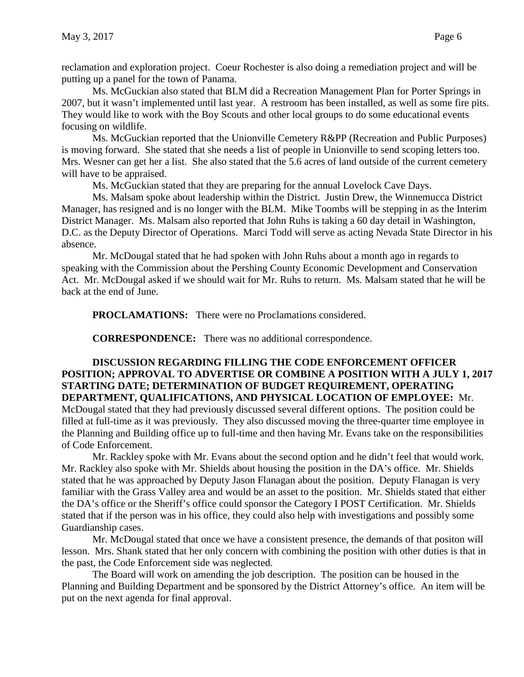reclamation and exploration project. Coeur Rochester is also doing a remediation project and will be putting up a panel for the town of Panama.

Ms. McGuckian also stated that BLM did a Recreation Management Plan for Porter Springs in 2007, but it wasn't implemented until last year. A restroom has been installed, as well as some fire pits. They would like to work with the Boy Scouts and other local groups to do some educational events focusing on wildlife.

Ms. McGuckian reported that the Unionville Cemetery R&PP (Recreation and Public Purposes) is moving forward. She stated that she needs a list of people in Unionville to send scoping letters too. Mrs. Wesner can get her a list. She also stated that the 5.6 acres of land outside of the current cemetery will have to be appraised.

Ms. McGuckian stated that they are preparing for the annual Lovelock Cave Days.

Ms. Malsam spoke about leadership within the District. Justin Drew, the Winnemucca District Manager, has resigned and is no longer with the BLM. Mike Toombs will be stepping in as the Interim District Manager. Ms. Malsam also reported that John Ruhs is taking a 60 day detail in Washington, D.C. as the Deputy Director of Operations. Marci Todd will serve as acting Nevada State Director in his absence.

Mr. McDougal stated that he had spoken with John Ruhs about a month ago in regards to speaking with the Commission about the Pershing County Economic Development and Conservation Act. Mr. McDougal asked if we should wait for Mr. Ruhs to return. Ms. Malsam stated that he will be back at the end of June.

**PROCLAMATIONS:** There were no Proclamations considered.

**CORRESPONDENCE:** There was no additional correspondence.

**DISCUSSION REGARDING FILLING THE CODE ENFORCEMENT OFFICER POSITION; APPROVAL TO ADVERTISE OR COMBINE A POSITION WITH A JULY 1, 2017 STARTING DATE; DETERMINATION OF BUDGET REQUIREMENT, OPERATING DEPARTMENT, QUALIFICATIONS, AND PHYSICAL LOCATION OF EMPLOYEE:** Mr. McDougal stated that they had previously discussed several different options. The position could be filled at full-time as it was previously. They also discussed moving the three-quarter time employee in the Planning and Building office up to full-time and then having Mr. Evans take on the responsibilities of Code Enforcement.

Mr. Rackley spoke with Mr. Evans about the second option and he didn't feel that would work. Mr. Rackley also spoke with Mr. Shields about housing the position in the DA's office. Mr. Shields stated that he was approached by Deputy Jason Flanagan about the position. Deputy Flanagan is very familiar with the Grass Valley area and would be an asset to the position. Mr. Shields stated that either the DA's office or the Sheriff's office could sponsor the Category I POST Certification. Mr. Shields stated that if the person was in his office, they could also help with investigations and possibly some Guardianship cases.

Mr. McDougal stated that once we have a consistent presence, the demands of that positon will lesson. Mrs. Shank stated that her only concern with combining the position with other duties is that in the past, the Code Enforcement side was neglected.

The Board will work on amending the job description. The position can be housed in the Planning and Building Department and be sponsored by the District Attorney's office. An item will be put on the next agenda for final approval.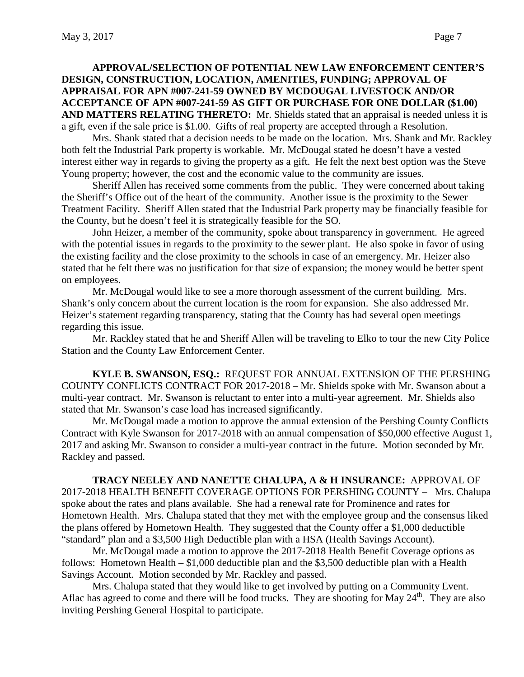### **APPROVAL/SELECTION OF POTENTIAL NEW LAW ENFORCEMENT CENTER'S DESIGN, CONSTRUCTION, LOCATION, AMENITIES, FUNDING; APPROVAL OF APPRAISAL FOR APN #007-241-59 OWNED BY MCDOUGAL LIVESTOCK AND/OR ACCEPTANCE OF APN #007-241-59 AS GIFT OR PURCHASE FOR ONE DOLLAR (\$1.00) AND MATTERS RELATING THERETO:** Mr. Shields stated that an appraisal is needed unless it is a gift, even if the sale price is \$1.00. Gifts of real property are accepted through a Resolution.

Mrs. Shank stated that a decision needs to be made on the location. Mrs. Shank and Mr. Rackley both felt the Industrial Park property is workable. Mr. McDougal stated he doesn't have a vested interest either way in regards to giving the property as a gift. He felt the next best option was the Steve Young property; however, the cost and the economic value to the community are issues.

Sheriff Allen has received some comments from the public. They were concerned about taking the Sheriff's Office out of the heart of the community. Another issue is the proximity to the Sewer Treatment Facility. Sheriff Allen stated that the Industrial Park property may be financially feasible for the County, but he doesn't feel it is strategically feasible for the SO.

John Heizer, a member of the community, spoke about transparency in government. He agreed with the potential issues in regards to the proximity to the sewer plant. He also spoke in favor of using the existing facility and the close proximity to the schools in case of an emergency. Mr. Heizer also stated that he felt there was no justification for that size of expansion; the money would be better spent on employees.

Mr. McDougal would like to see a more thorough assessment of the current building. Mrs. Shank's only concern about the current location is the room for expansion. She also addressed Mr. Heizer's statement regarding transparency, stating that the County has had several open meetings regarding this issue.

Mr. Rackley stated that he and Sheriff Allen will be traveling to Elko to tour the new City Police Station and the County Law Enforcement Center.

**KYLE B. SWANSON, ESQ.:** REQUEST FOR ANNUAL EXTENSION OF THE PERSHING COUNTY CONFLICTS CONTRACT FOR 2017-2018 – Mr. Shields spoke with Mr. Swanson about a multi-year contract. Mr. Swanson is reluctant to enter into a multi-year agreement. Mr. Shields also stated that Mr. Swanson's case load has increased significantly.

Mr. McDougal made a motion to approve the annual extension of the Pershing County Conflicts Contract with Kyle Swanson for 2017-2018 with an annual compensation of \$50,000 effective August 1, 2017 and asking Mr. Swanson to consider a multi-year contract in the future. Motion seconded by Mr. Rackley and passed.

**TRACY NEELEY AND NANETTE CHALUPA, A & H INSURANCE:** APPROVAL OF 2017-2018 HEALTH BENEFIT COVERAGE OPTIONS FOR PERSHING COUNTY – Mrs. Chalupa spoke about the rates and plans available. She had a renewal rate for Prominence and rates for Hometown Health. Mrs. Chalupa stated that they met with the employee group and the consensus liked the plans offered by Hometown Health. They suggested that the County offer a \$1,000 deductible "standard" plan and a \$3,500 High Deductible plan with a HSA (Health Savings Account).

Mr. McDougal made a motion to approve the 2017-2018 Health Benefit Coverage options as follows: Hometown Health – \$1,000 deductible plan and the \$3,500 deductible plan with a Health Savings Account. Motion seconded by Mr. Rackley and passed.

Mrs. Chalupa stated that they would like to get involved by putting on a Community Event. Aflac has agreed to come and there will be food trucks. They are shooting for May  $24<sup>th</sup>$ . They are also inviting Pershing General Hospital to participate.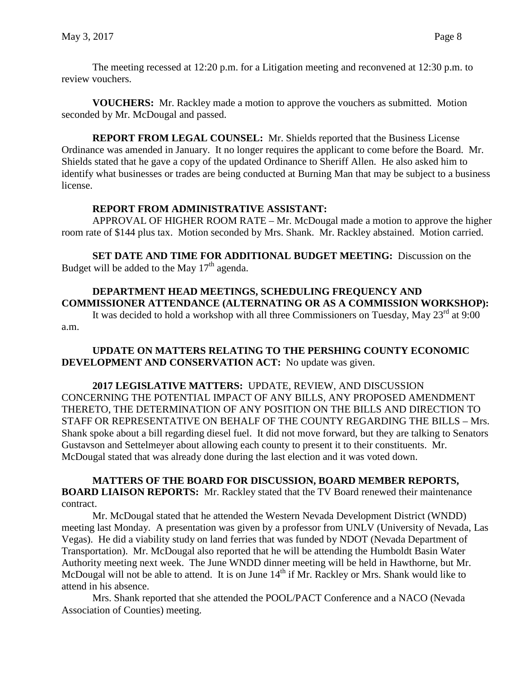The meeting recessed at 12:20 p.m. for a Litigation meeting and reconvened at 12:30 p.m. to review vouchers.

**VOUCHERS:** Mr. Rackley made a motion to approve the vouchers as submitted. Motion seconded by Mr. McDougal and passed.

**REPORT FROM LEGAL COUNSEL:** Mr. Shields reported that the Business License Ordinance was amended in January. It no longer requires the applicant to come before the Board. Mr. Shields stated that he gave a copy of the updated Ordinance to Sheriff Allen. He also asked him to identify what businesses or trades are being conducted at Burning Man that may be subject to a business license.

### **REPORT FROM ADMINISTRATIVE ASSISTANT:**

APPROVAL OF HIGHER ROOM RATE – Mr. McDougal made a motion to approve the higher room rate of \$144 plus tax. Motion seconded by Mrs. Shank. Mr. Rackley abstained. Motion carried.

**SET DATE AND TIME FOR ADDITIONAL BUDGET MEETING:** Discussion on the Budget will be added to the May  $17<sup>th</sup>$  agenda.

# **DEPARTMENT HEAD MEETINGS, SCHEDULING FREQUENCY AND COMMISSIONER ATTENDANCE (ALTERNATING OR AS A COMMISSION WORKSHOP):**

It was decided to hold a workshop with all three Commissioners on Tuesday, May  $23^{\text{rd}}$  at 9:00 a.m.

## **UPDATE ON MATTERS RELATING TO THE PERSHING COUNTY ECONOMIC DEVELOPMENT AND CONSERVATION ACT:** No update was given.

**2017 LEGISLATIVE MATTERS:** UPDATE, REVIEW, AND DISCUSSION CONCERNING THE POTENTIAL IMPACT OF ANY BILLS, ANY PROPOSED AMENDMENT THERETO, THE DETERMINATION OF ANY POSITION ON THE BILLS AND DIRECTION TO STAFF OR REPRESENTATIVE ON BEHALF OF THE COUNTY REGARDING THE BILLS – Mrs. Shank spoke about a bill regarding diesel fuel. It did not move forward, but they are talking to Senators Gustavson and Settelmeyer about allowing each county to present it to their constituents. Mr. McDougal stated that was already done during the last election and it was voted down.

**MATTERS OF THE BOARD FOR DISCUSSION, BOARD MEMBER REPORTS, BOARD LIAISON REPORTS:** Mr. Rackley stated that the TV Board renewed their maintenance contract.

Mr. McDougal stated that he attended the Western Nevada Development District (WNDD) meeting last Monday. A presentation was given by a professor from UNLV (University of Nevada, Las Vegas). He did a viability study on land ferries that was funded by NDOT (Nevada Department of Transportation). Mr. McDougal also reported that he will be attending the Humboldt Basin Water Authority meeting next week. The June WNDD dinner meeting will be held in Hawthorne, but Mr. McDougal will not be able to attend. It is on June 14<sup>th</sup> if Mr. Rackley or Mrs. Shank would like to attend in his absence.

Mrs. Shank reported that she attended the POOL/PACT Conference and a NACO (Nevada Association of Counties) meeting.